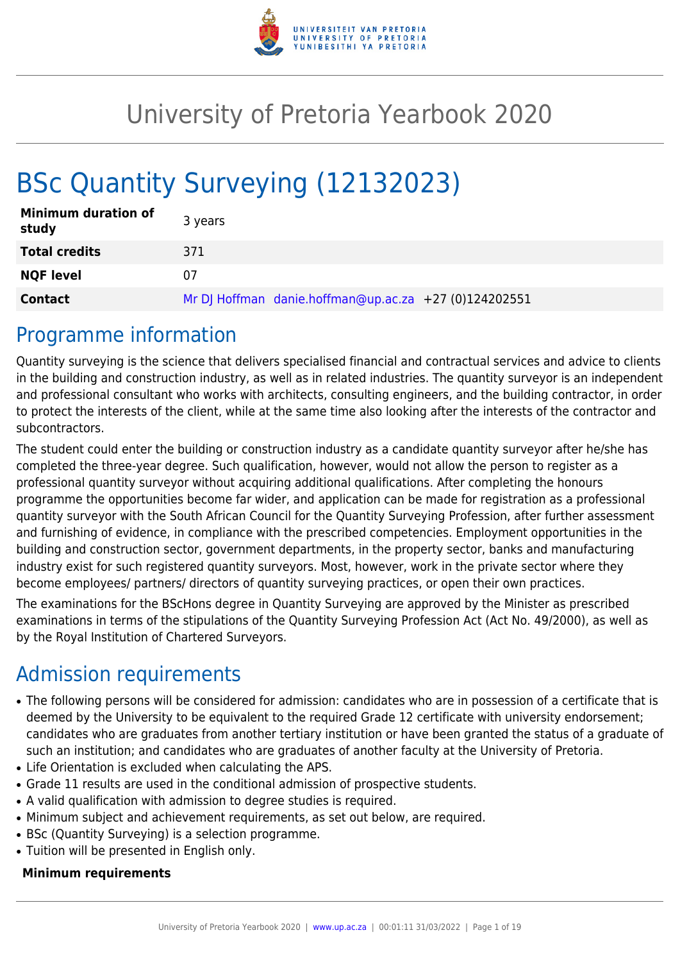

## University of Pretoria Yearbook 2020

# BSc Quantity Surveying (12132023)

| <b>Minimum duration of</b><br>study | 3 years                                               |
|-------------------------------------|-------------------------------------------------------|
| <b>Total credits</b>                | 371                                                   |
| <b>NQF level</b>                    | 07                                                    |
| <b>Contact</b>                      | Mr DJ Hoffman danie.hoffman@up.ac.za +27 (0)124202551 |

## Programme information

Quantity surveying is the science that delivers specialised financial and contractual services and advice to clients in the building and construction industry, as well as in related industries. The quantity surveyor is an independent and professional consultant who works with architects, consulting engineers, and the building contractor, in order to protect the interests of the client, while at the same time also looking after the interests of the contractor and subcontractors.

The student could enter the building or construction industry as a candidate quantity surveyor after he/she has completed the three-year degree. Such qualification, however, would not allow the person to register as a professional quantity surveyor without acquiring additional qualifications. After completing the honours programme the opportunities become far wider, and application can be made for registration as a professional quantity surveyor with the South African Council for the Quantity Surveying Profession, after further assessment and furnishing of evidence, in compliance with the prescribed competencies. Employment opportunities in the building and construction sector, government departments, in the property sector, banks and manufacturing industry exist for such registered quantity surveyors. Most, however, work in the private sector where they become employees/ partners/ directors of quantity surveying practices, or open their own practices.

The examinations for the BScHons degree in Quantity Surveying are approved by the Minister as prescribed examinations in terms of the stipulations of the Quantity Surveying Profession Act (Act No. 49/2000), as well as by the Royal Institution of Chartered Surveyors.

## Admission requirements

- The following persons will be considered for admission: candidates who are in possession of a certificate that is deemed by the University to be equivalent to the required Grade 12 certificate with university endorsement; candidates who are graduates from another tertiary institution or have been granted the status of a graduate of such an institution; and candidates who are graduates of another faculty at the University of Pretoria.
- Life Orientation is excluded when calculating the APS.
- Grade 11 results are used in the conditional admission of prospective students.
- A valid qualification with admission to degree studies is required.
- Minimum subject and achievement requirements, as set out below, are required.
- BSc (Quantity Surveying) is a selection programme.
- Tuition will be presented in English only.

### **Minimum requirements**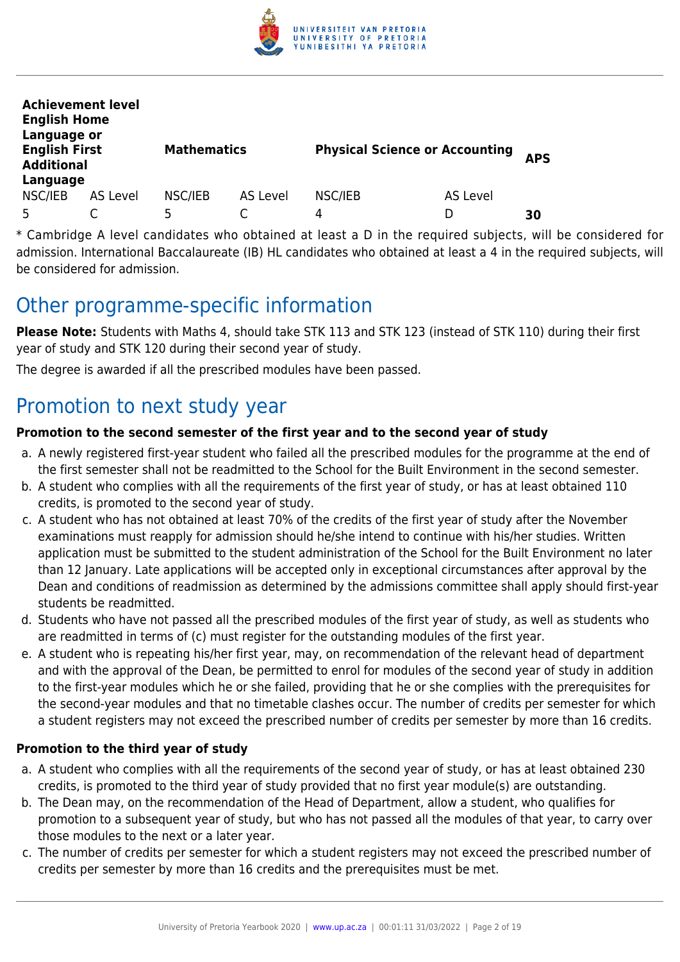

| <b>Achievement level</b><br><b>English Home</b><br>Language or |          |                    |          |                                       |          |            |
|----------------------------------------------------------------|----------|--------------------|----------|---------------------------------------|----------|------------|
| <b>English First</b><br><b>Additional</b><br>Language          |          | <b>Mathematics</b> |          | <b>Physical Science or Accounting</b> |          | <b>APS</b> |
| NSC/IEB                                                        | AS Level | NSC/IEB            | AS Level | NSC/IEB                               | AS Level |            |
| 5                                                              |          | 5                  |          | 4                                     |          | 30         |

\* Cambridge A level candidates who obtained at least a D in the required subjects, will be considered for admission. International Baccalaureate (IB) HL candidates who obtained at least a 4 in the required subjects, will be considered for admission.

## Other programme-specific information

**Please Note:** Students with Maths 4, should take STK 113 and STK 123 (instead of STK 110) during their first year of study and STK 120 during their second year of study.

The degree is awarded if all the prescribed modules have been passed.

## Promotion to next study year

## **Promotion to the second semester of the first year and to the second year of study**

- a. A newly registered first-year student who failed all the prescribed modules for the programme at the end of the first semester shall not be readmitted to the School for the Built Environment in the second semester.
- b. A student who complies with all the requirements of the first year of study, or has at least obtained 110 credits, is promoted to the second year of study.
- c. A student who has not obtained at least 70% of the credits of the first year of study after the November examinations must reapply for admission should he/she intend to continue with his/her studies. Written application must be submitted to the student administration of the School for the Built Environment no later than 12 January. Late applications will be accepted only in exceptional circumstances after approval by the Dean and conditions of readmission as determined by the admissions committee shall apply should first-year students be readmitted.
- d. Students who have not passed all the prescribed modules of the first year of study, as well as students who are readmitted in terms of (c) must register for the outstanding modules of the first year.
- e. A student who is repeating his/her first year, may, on recommendation of the relevant head of department and with the approval of the Dean, be permitted to enrol for modules of the second year of study in addition to the first-year modules which he or she failed, providing that he or she complies with the prerequisites for the second-year modules and that no timetable clashes occur. The number of credits per semester for which a student registers may not exceed the prescribed number of credits per semester by more than 16 credits.

## **Promotion to the third year of study**

- a. A student who complies with all the requirements of the second year of study, or has at least obtained 230 credits, is promoted to the third year of study provided that no first year module(s) are outstanding.
- b. The Dean may, on the recommendation of the Head of Department, allow a student, who qualifies for promotion to a subsequent year of study, but who has not passed all the modules of that year, to carry over those modules to the next or a later year.
- c. The number of credits per semester for which a student registers may not exceed the prescribed number of credits per semester by more than 16 credits and the prerequisites must be met.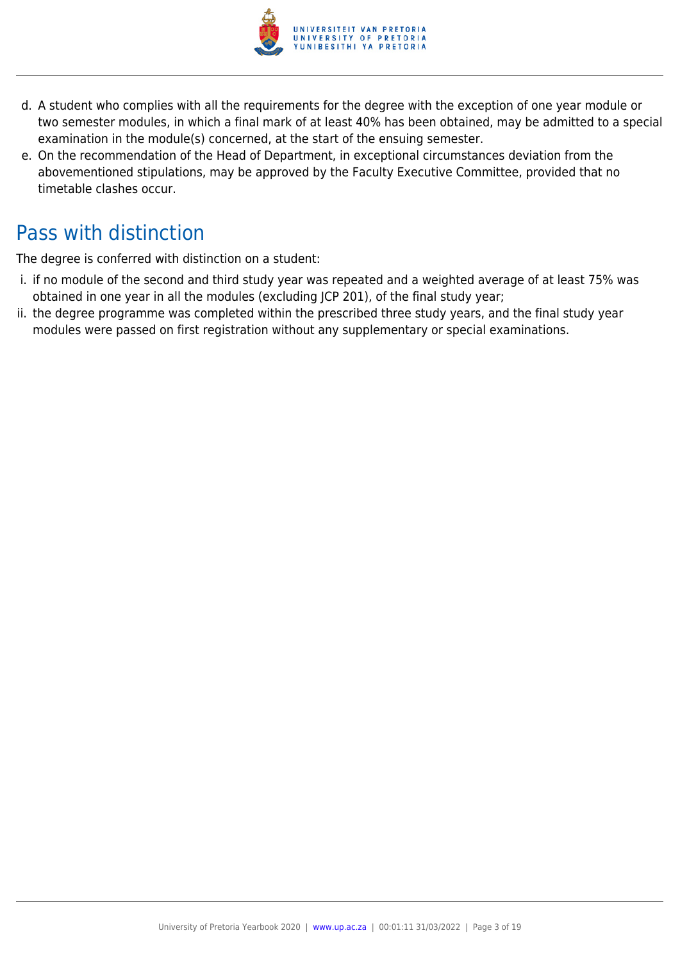

- d. A student who complies with all the requirements for the degree with the exception of one year module or two semester modules, in which a final mark of at least 40% has been obtained, may be admitted to a special examination in the module(s) concerned, at the start of the ensuing semester.
- e. On the recommendation of the Head of Department, in exceptional circumstances deviation from the abovementioned stipulations, may be approved by the Faculty Executive Committee, provided that no timetable clashes occur.

## Pass with distinction

The degree is conferred with distinction on a student:

- i. if no module of the second and third study year was repeated and a weighted average of at least 75% was obtained in one year in all the modules (excluding JCP 201), of the final study year;
- ii. the degree programme was completed within the prescribed three study years, and the final study year modules were passed on first registration without any supplementary or special examinations.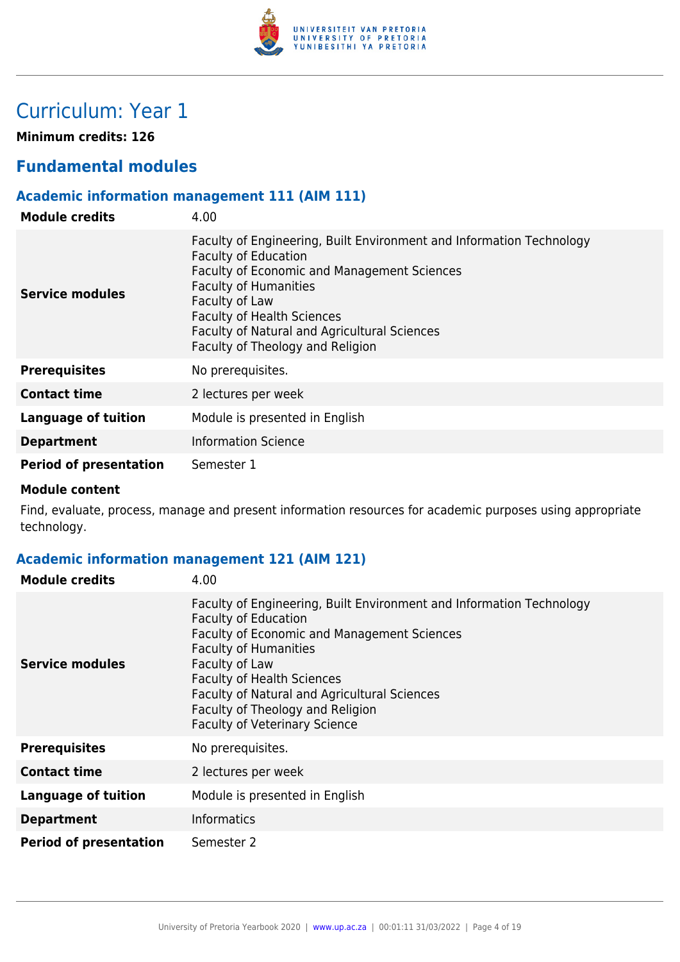

## Curriculum: Year 1

**Minimum credits: 126**

## **Fundamental modules**

## **Academic information management 111 (AIM 111)**

| <b>Module credits</b>         | 4.00                                                                                                                                                                                                                                                                                                                          |
|-------------------------------|-------------------------------------------------------------------------------------------------------------------------------------------------------------------------------------------------------------------------------------------------------------------------------------------------------------------------------|
| Service modules               | Faculty of Engineering, Built Environment and Information Technology<br><b>Faculty of Education</b><br>Faculty of Economic and Management Sciences<br><b>Faculty of Humanities</b><br>Faculty of Law<br><b>Faculty of Health Sciences</b><br>Faculty of Natural and Agricultural Sciences<br>Faculty of Theology and Religion |
| <b>Prerequisites</b>          | No prerequisites.                                                                                                                                                                                                                                                                                                             |
| <b>Contact time</b>           | 2 lectures per week                                                                                                                                                                                                                                                                                                           |
| Language of tuition           | Module is presented in English                                                                                                                                                                                                                                                                                                |
| <b>Department</b>             | <b>Information Science</b>                                                                                                                                                                                                                                                                                                    |
| <b>Period of presentation</b> | Semester 1                                                                                                                                                                                                                                                                                                                    |

#### **Module content**

Find, evaluate, process, manage and present information resources for academic purposes using appropriate technology.

## **Academic information management 121 (AIM 121)**

| <b>Module credits</b>         | 4.00                                                                                                                                                                                                                                                                                                                                                                  |
|-------------------------------|-----------------------------------------------------------------------------------------------------------------------------------------------------------------------------------------------------------------------------------------------------------------------------------------------------------------------------------------------------------------------|
| Service modules               | Faculty of Engineering, Built Environment and Information Technology<br><b>Faculty of Education</b><br>Faculty of Economic and Management Sciences<br><b>Faculty of Humanities</b><br>Faculty of Law<br><b>Faculty of Health Sciences</b><br>Faculty of Natural and Agricultural Sciences<br>Faculty of Theology and Religion<br><b>Faculty of Veterinary Science</b> |
| <b>Prerequisites</b>          | No prerequisites.                                                                                                                                                                                                                                                                                                                                                     |
| <b>Contact time</b>           | 2 lectures per week                                                                                                                                                                                                                                                                                                                                                   |
| <b>Language of tuition</b>    | Module is presented in English                                                                                                                                                                                                                                                                                                                                        |
| <b>Department</b>             | <b>Informatics</b>                                                                                                                                                                                                                                                                                                                                                    |
| <b>Period of presentation</b> | Semester 2                                                                                                                                                                                                                                                                                                                                                            |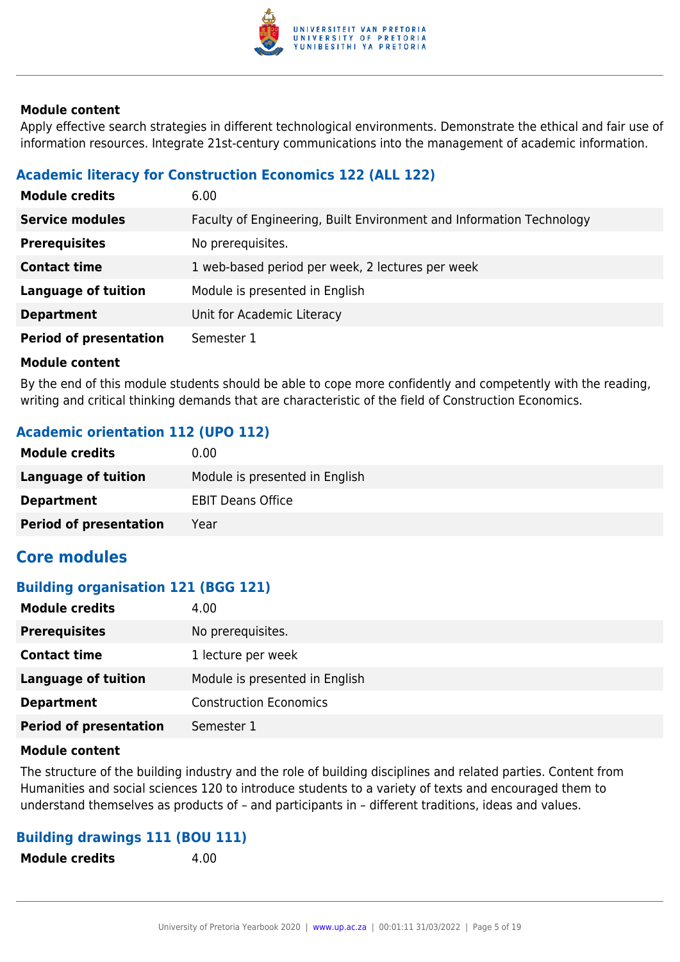

Apply effective search strategies in different technological environments. Demonstrate the ethical and fair use of information resources. Integrate 21st-century communications into the management of academic information.

## **Academic literacy for Construction Economics 122 (ALL 122)**

| <b>Module credits</b>         | 6.00                                                                 |
|-------------------------------|----------------------------------------------------------------------|
| <b>Service modules</b>        | Faculty of Engineering, Built Environment and Information Technology |
| <b>Prerequisites</b>          | No prerequisites.                                                    |
| <b>Contact time</b>           | 1 web-based period per week, 2 lectures per week                     |
| <b>Language of tuition</b>    | Module is presented in English                                       |
| <b>Department</b>             | Unit for Academic Literacy                                           |
| <b>Period of presentation</b> | Semester 1                                                           |

#### **Module content**

By the end of this module students should be able to cope more confidently and competently with the reading, writing and critical thinking demands that are characteristic of the field of Construction Economics.

## **Academic orientation 112 (UPO 112)**

| <b>Module credits</b>         | 0.00                           |
|-------------------------------|--------------------------------|
| Language of tuition           | Module is presented in English |
| <b>Department</b>             | <b>EBIT Deans Office</b>       |
| <b>Period of presentation</b> | Year                           |

## **Core modules**

### **Building organisation 121 (BGG 121)**

| <b>Module credits</b>         | 4.00                           |
|-------------------------------|--------------------------------|
| <b>Prerequisites</b>          | No prerequisites.              |
| <b>Contact time</b>           | 1 lecture per week             |
| <b>Language of tuition</b>    | Module is presented in English |
| <b>Department</b>             | <b>Construction Economics</b>  |
| <b>Period of presentation</b> | Semester 1                     |

#### **Module content**

The structure of the building industry and the role of building disciplines and related parties. Content from Humanities and social sciences 120 to introduce students to a variety of texts and encouraged them to understand themselves as products of – and participants in – different traditions, ideas and values.

### **Building drawings 111 (BOU 111)**

| <b>Module credits</b><br>4.00 |
|-------------------------------|
|-------------------------------|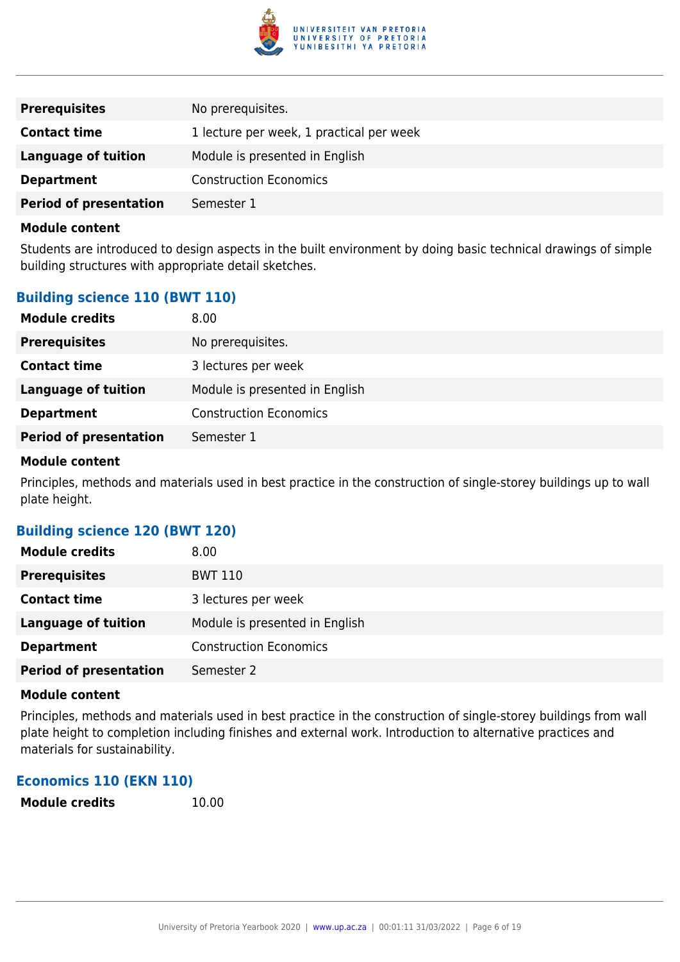

| <b>Prerequisites</b>          | No prerequisites.                        |
|-------------------------------|------------------------------------------|
| <b>Contact time</b>           | 1 lecture per week, 1 practical per week |
| Language of tuition           | Module is presented in English           |
| <b>Department</b>             | <b>Construction Economics</b>            |
| <b>Period of presentation</b> | Semester 1                               |

Students are introduced to design aspects in the built environment by doing basic technical drawings of simple building structures with appropriate detail sketches.

## **Building science 110 (BWT 110)**

| <b>Module credits</b>         | 8.00                           |
|-------------------------------|--------------------------------|
| <b>Prerequisites</b>          | No prerequisites.              |
| <b>Contact time</b>           | 3 lectures per week            |
| <b>Language of tuition</b>    | Module is presented in English |
| <b>Department</b>             | <b>Construction Economics</b>  |
| <b>Period of presentation</b> | Semester 1                     |
|                               |                                |

#### **Module content**

Principles, methods and materials used in best practice in the construction of single-storey buildings up to wall plate height.

## **Building science 120 (BWT 120)**

| <b>Module credits</b>         | 8.00                           |
|-------------------------------|--------------------------------|
| <b>Prerequisites</b>          | <b>BWT 110</b>                 |
| <b>Contact time</b>           | 3 lectures per week            |
| <b>Language of tuition</b>    | Module is presented in English |
| <b>Department</b>             | <b>Construction Economics</b>  |
| <b>Period of presentation</b> | Semester 2                     |

#### **Module content**

Principles, methods and materials used in best practice in the construction of single-storey buildings from wall plate height to completion including finishes and external work. Introduction to alternative practices and materials for sustainability.

## **Economics 110 (EKN 110)**

| <b>Module credits</b> | 10.00 |
|-----------------------|-------|
|-----------------------|-------|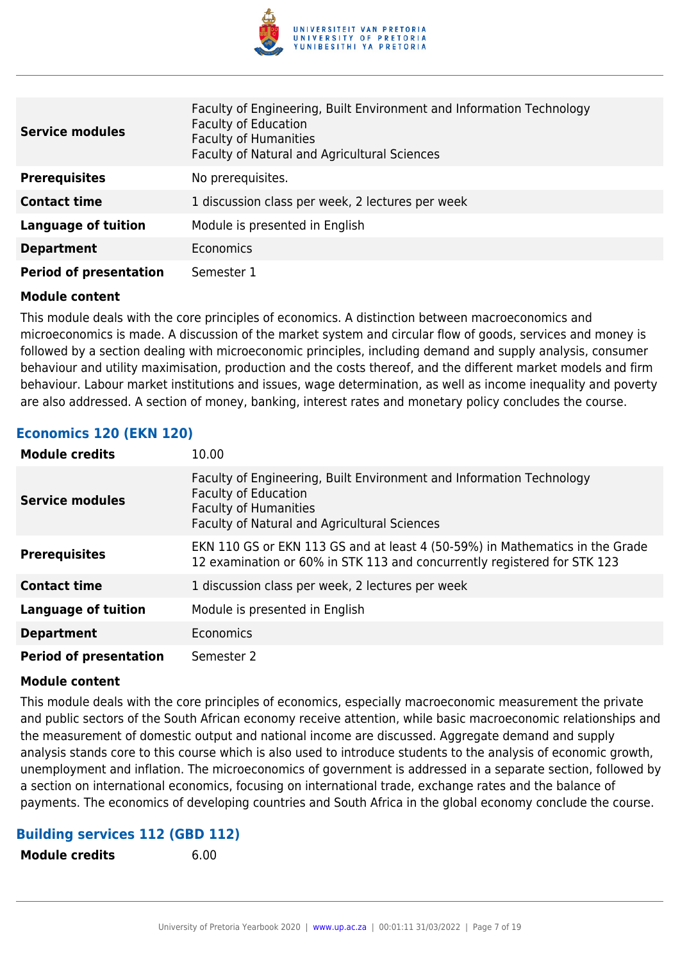

| <b>Service modules</b>        | Faculty of Engineering, Built Environment and Information Technology<br><b>Faculty of Education</b><br><b>Faculty of Humanities</b><br>Faculty of Natural and Agricultural Sciences |
|-------------------------------|-------------------------------------------------------------------------------------------------------------------------------------------------------------------------------------|
| <b>Prerequisites</b>          | No prerequisites.                                                                                                                                                                   |
| <b>Contact time</b>           | 1 discussion class per week, 2 lectures per week                                                                                                                                    |
| <b>Language of tuition</b>    | Module is presented in English                                                                                                                                                      |
| <b>Department</b>             | Economics                                                                                                                                                                           |
| <b>Period of presentation</b> | Semester 1                                                                                                                                                                          |

This module deals with the core principles of economics. A distinction between macroeconomics and microeconomics is made. A discussion of the market system and circular flow of goods, services and money is followed by a section dealing with microeconomic principles, including demand and supply analysis, consumer behaviour and utility maximisation, production and the costs thereof, and the different market models and firm behaviour. Labour market institutions and issues, wage determination, as well as income inequality and poverty are also addressed. A section of money, banking, interest rates and monetary policy concludes the course.

### **Economics 120 (EKN 120)**

| <b>Module credits</b>         | 10.00                                                                                                                                                                               |
|-------------------------------|-------------------------------------------------------------------------------------------------------------------------------------------------------------------------------------|
| <b>Service modules</b>        | Faculty of Engineering, Built Environment and Information Technology<br><b>Faculty of Education</b><br><b>Faculty of Humanities</b><br>Faculty of Natural and Agricultural Sciences |
| <b>Prerequisites</b>          | EKN 110 GS or EKN 113 GS and at least 4 (50-59%) in Mathematics in the Grade<br>12 examination or 60% in STK 113 and concurrently registered for STK 123                            |
| <b>Contact time</b>           | 1 discussion class per week, 2 lectures per week                                                                                                                                    |
| <b>Language of tuition</b>    | Module is presented in English                                                                                                                                                      |
| <b>Department</b>             | Economics                                                                                                                                                                           |
| <b>Period of presentation</b> | Semester 2                                                                                                                                                                          |

#### **Module content**

This module deals with the core principles of economics, especially macroeconomic measurement the private and public sectors of the South African economy receive attention, while basic macroeconomic relationships and the measurement of domestic output and national income are discussed. Aggregate demand and supply analysis stands core to this course which is also used to introduce students to the analysis of economic growth, unemployment and inflation. The microeconomics of government is addressed in a separate section, followed by a section on international economics, focusing on international trade, exchange rates and the balance of payments. The economics of developing countries and South Africa in the global economy conclude the course.

### **Building services 112 (GBD 112)**

**Module credits** 6.00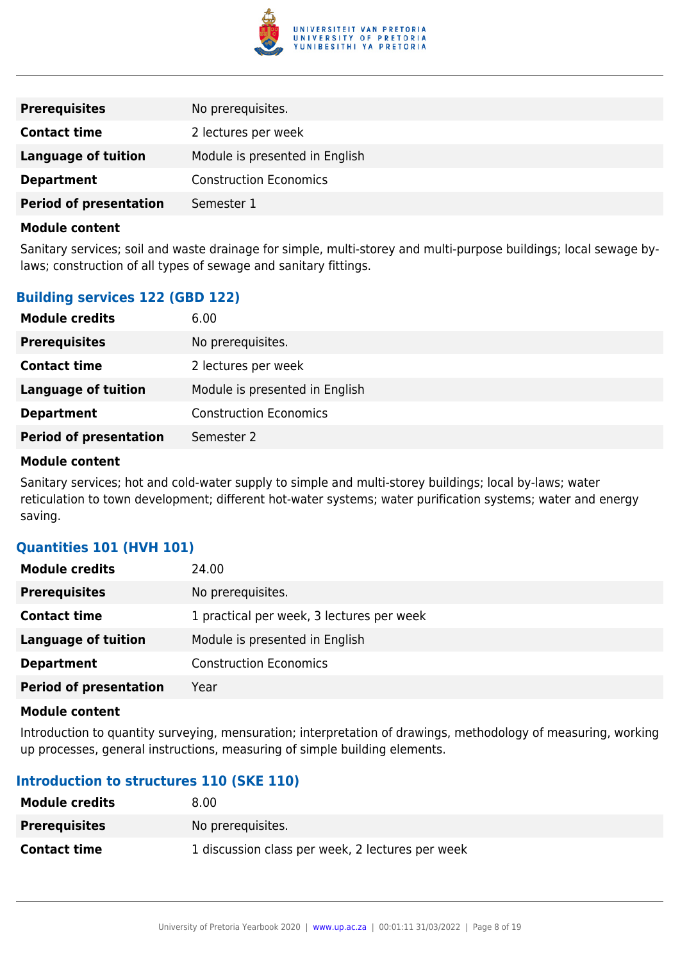

| <b>Prerequisites</b>          | No prerequisites.              |
|-------------------------------|--------------------------------|
| <b>Contact time</b>           | 2 lectures per week            |
| <b>Language of tuition</b>    | Module is presented in English |
| <b>Department</b>             | <b>Construction Economics</b>  |
| <b>Period of presentation</b> | Semester 1                     |

Sanitary services; soil and waste drainage for simple, multi-storey and multi-purpose buildings; local sewage bylaws; construction of all types of sewage and sanitary fittings.

## **Building services 122 (GBD 122)**

| <b>Module credits</b>         | 6.00                           |
|-------------------------------|--------------------------------|
| <b>Prerequisites</b>          | No prerequisites.              |
| <b>Contact time</b>           | 2 lectures per week            |
| <b>Language of tuition</b>    | Module is presented in English |
| <b>Department</b>             | <b>Construction Economics</b>  |
| <b>Period of presentation</b> | Semester 2                     |
|                               |                                |

#### **Module content**

Sanitary services; hot and cold-water supply to simple and multi-storey buildings; local by-laws; water reticulation to town development; different hot-water systems; water purification systems; water and energy saving.

## **Quantities 101 (HVH 101)**

| <b>Module credits</b>         | 24.00                                     |
|-------------------------------|-------------------------------------------|
| <b>Prerequisites</b>          | No prerequisites.                         |
| <b>Contact time</b>           | 1 practical per week, 3 lectures per week |
| <b>Language of tuition</b>    | Module is presented in English            |
| <b>Department</b>             | <b>Construction Economics</b>             |
| <b>Period of presentation</b> | Year                                      |

#### **Module content**

Introduction to quantity surveying, mensuration; interpretation of drawings, methodology of measuring, working up processes, general instructions, measuring of simple building elements.

## **Introduction to structures 110 (SKE 110)**

| <b>Module credits</b> | 8.00                                             |
|-----------------------|--------------------------------------------------|
| <b>Prerequisites</b>  | No prereguisites.                                |
| <b>Contact time</b>   | 1 discussion class per week, 2 lectures per week |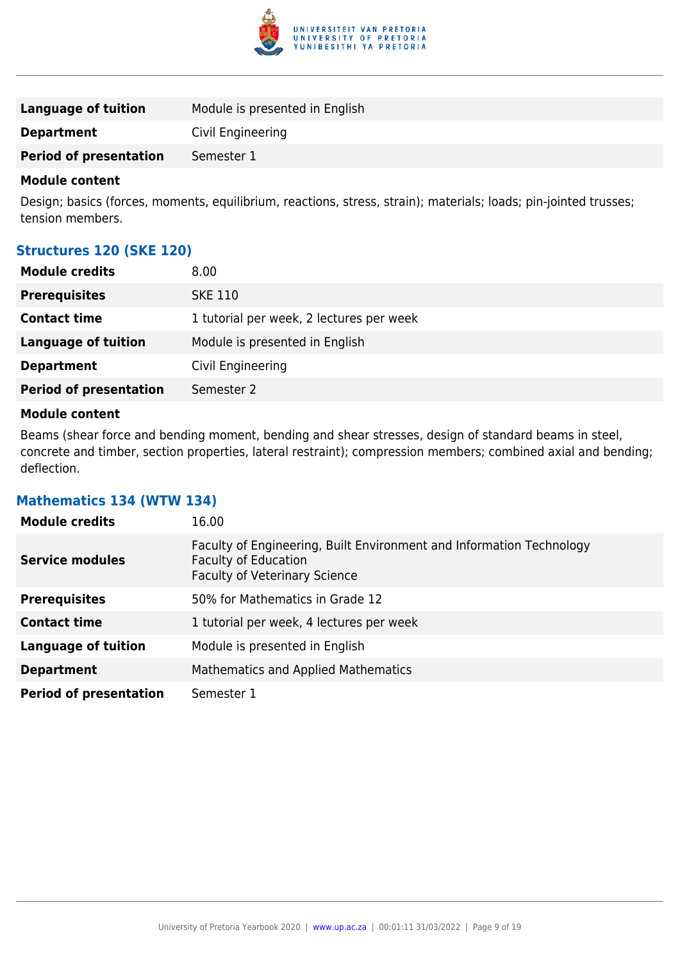

| Language of tuition           | Module is presented in English |
|-------------------------------|--------------------------------|
| <b>Department</b>             | Civil Engineering              |
| <b>Period of presentation</b> | Semester 1                     |

Design; basics (forces, moments, equilibrium, reactions, stress, strain); materials; loads; pin-jointed trusses; tension members.

### **Structures 120 (SKE 120)**

| <b>Module credits</b>         | 8.00                                     |
|-------------------------------|------------------------------------------|
| <b>Prerequisites</b>          | <b>SKE 110</b>                           |
| <b>Contact time</b>           | 1 tutorial per week, 2 lectures per week |
| <b>Language of tuition</b>    | Module is presented in English           |
| <b>Department</b>             | Civil Engineering                        |
| <b>Period of presentation</b> | Semester 2                               |
|                               |                                          |

#### **Module content**

Beams (shear force and bending moment, bending and shear stresses, design of standard beams in steel, concrete and timber, section properties, lateral restraint); compression members; combined axial and bending; deflection.

#### **Mathematics 134 (WTW 134)**

| <b>Module credits</b>         | 16.00                                                                                                                                       |
|-------------------------------|---------------------------------------------------------------------------------------------------------------------------------------------|
| <b>Service modules</b>        | Faculty of Engineering, Built Environment and Information Technology<br><b>Faculty of Education</b><br><b>Faculty of Veterinary Science</b> |
| <b>Prerequisites</b>          | 50% for Mathematics in Grade 12                                                                                                             |
| <b>Contact time</b>           | 1 tutorial per week, 4 lectures per week                                                                                                    |
| <b>Language of tuition</b>    | Module is presented in English                                                                                                              |
| <b>Department</b>             | Mathematics and Applied Mathematics                                                                                                         |
| <b>Period of presentation</b> | Semester 1                                                                                                                                  |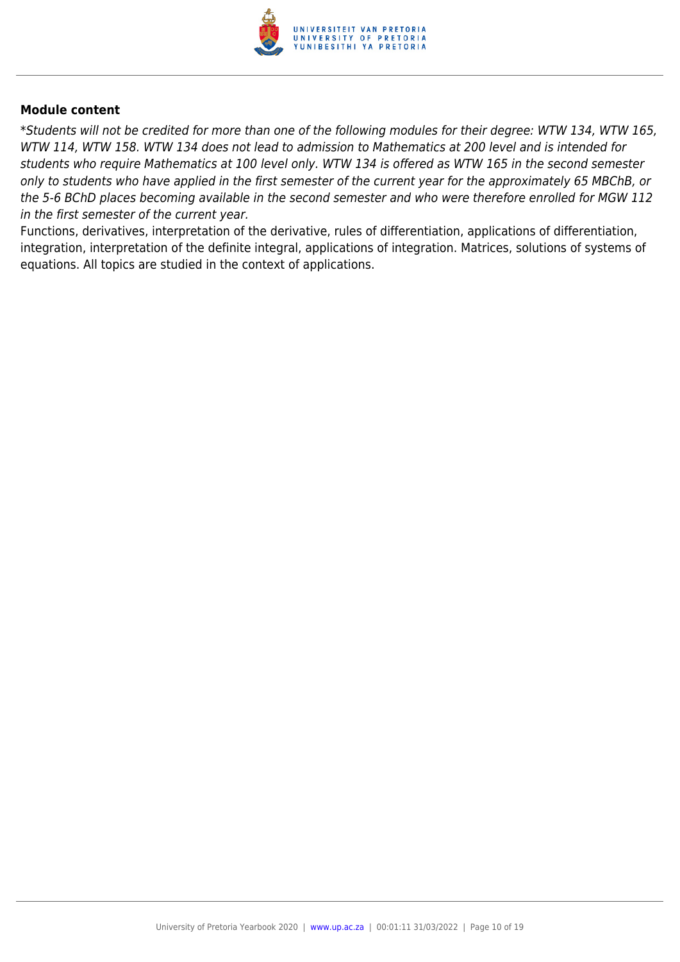

\*Students will not be credited for more than one of the following modules for their degree: WTW 134, WTW 165, WTW 114, WTW 158. WTW 134 does not lead to admission to Mathematics at 200 level and is intended for students who require Mathematics at 100 level only. WTW 134 is offered as WTW 165 in the second semester only to students who have applied in the first semester of the current year for the approximately 65 MBChB, or the 5-6 BChD places becoming available in the second semester and who were therefore enrolled for MGW 112 in the first semester of the current year.

Functions, derivatives, interpretation of the derivative, rules of differentiation, applications of differentiation, integration, interpretation of the definite integral, applications of integration. Matrices, solutions of systems of equations. All topics are studied in the context of applications.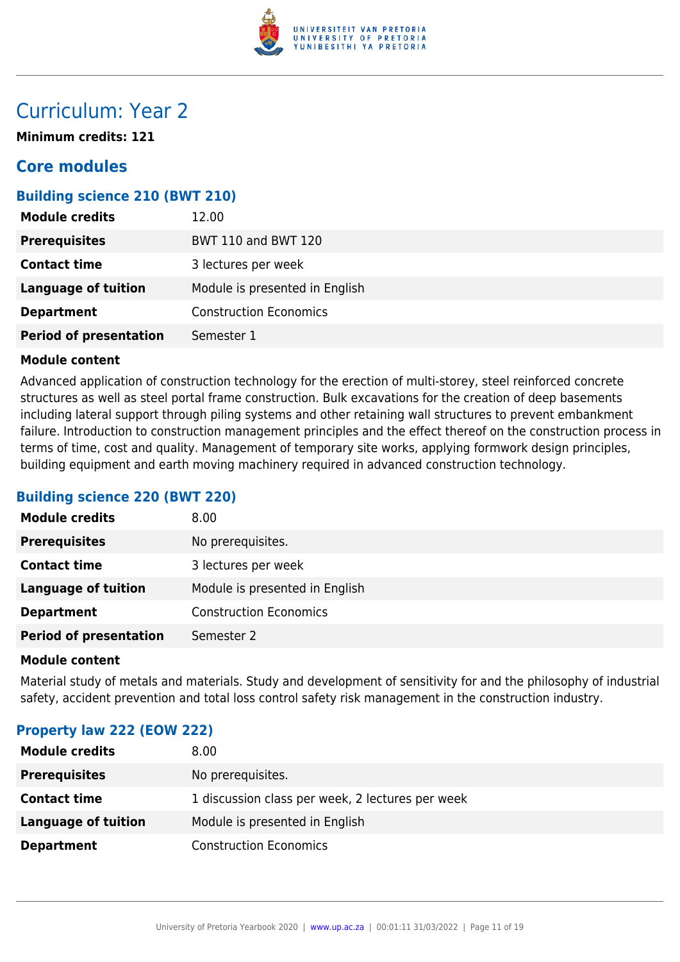

## Curriculum: Year 2

**Minimum credits: 121**

## **Core modules**

## **Building science 210 (BWT 210)**

| <b>Module credits</b>         | 12.00                          |
|-------------------------------|--------------------------------|
| <b>Prerequisites</b>          | <b>BWT 110 and BWT 120</b>     |
| <b>Contact time</b>           | 3 lectures per week            |
| Language of tuition           | Module is presented in English |
| <b>Department</b>             | <b>Construction Economics</b>  |
| <b>Period of presentation</b> | Semester 1                     |

### **Module content**

Advanced application of construction technology for the erection of multi-storey, steel reinforced concrete structures as well as steel portal frame construction. Bulk excavations for the creation of deep basements including lateral support through piling systems and other retaining wall structures to prevent embankment failure. Introduction to construction management principles and the effect thereof on the construction process in terms of time, cost and quality. Management of temporary site works, applying formwork design principles, building equipment and earth moving machinery required in advanced construction technology.

## **Building science 220 (BWT 220)**

| <b>Module credits</b>         | 8.00                           |
|-------------------------------|--------------------------------|
| <b>Prerequisites</b>          | No prerequisites.              |
| <b>Contact time</b>           | 3 lectures per week            |
| <b>Language of tuition</b>    | Module is presented in English |
| <b>Department</b>             | <b>Construction Economics</b>  |
| <b>Period of presentation</b> | Semester 2                     |

#### **Module content**

Material study of metals and materials. Study and development of sensitivity for and the philosophy of industrial safety, accident prevention and total loss control safety risk management in the construction industry.

## **Property law 222 (EOW 222)**

| <b>Module credits</b> | 8.00                                             |
|-----------------------|--------------------------------------------------|
| <b>Prerequisites</b>  | No prerequisites.                                |
| <b>Contact time</b>   | 1 discussion class per week, 2 lectures per week |
| Language of tuition   | Module is presented in English                   |
| <b>Department</b>     | <b>Construction Economics</b>                    |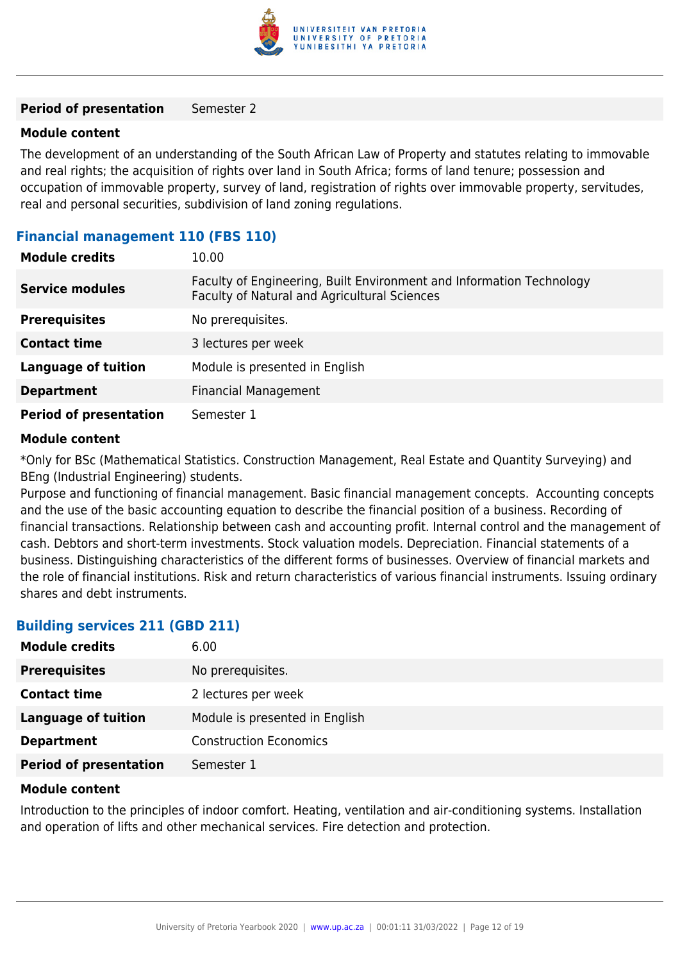

#### **Period of presentation** Semester 2

#### **Module content**

The development of an understanding of the South African Law of Property and statutes relating to immovable and real rights; the acquisition of rights over land in South Africa; forms of land tenure; possession and occupation of immovable property, survey of land, registration of rights over immovable property, servitudes, real and personal securities, subdivision of land zoning regulations.

#### **Financial management 110 (FBS 110)**

| <b>Module credits</b>         | 10.00                                                                                                                |
|-------------------------------|----------------------------------------------------------------------------------------------------------------------|
| <b>Service modules</b>        | Faculty of Engineering, Built Environment and Information Technology<br>Faculty of Natural and Agricultural Sciences |
| <b>Prerequisites</b>          | No prerequisites.                                                                                                    |
| <b>Contact time</b>           | 3 lectures per week                                                                                                  |
| <b>Language of tuition</b>    | Module is presented in English                                                                                       |
| <b>Department</b>             | <b>Financial Management</b>                                                                                          |
| <b>Period of presentation</b> | Semester 1                                                                                                           |

#### **Module content**

\*Only for BSc (Mathematical Statistics. Construction Management, Real Estate and Quantity Surveying) and BEng (Industrial Engineering) students.

Purpose and functioning of financial management. Basic financial management concepts. Accounting concepts and the use of the basic accounting equation to describe the financial position of a business. Recording of financial transactions. Relationship between cash and accounting profit. Internal control and the management of cash. Debtors and short-term investments. Stock valuation models. Depreciation. Financial statements of a business. Distinguishing characteristics of the different forms of businesses. Overview of financial markets and the role of financial institutions. Risk and return characteristics of various financial instruments. Issuing ordinary shares and debt instruments.

### **Building services 211 (GBD 211)**

| <b>Module credits</b>         | 6.00                           |
|-------------------------------|--------------------------------|
| <b>Prerequisites</b>          | No prerequisites.              |
| <b>Contact time</b>           | 2 lectures per week            |
| <b>Language of tuition</b>    | Module is presented in English |
| <b>Department</b>             | <b>Construction Economics</b>  |
| <b>Period of presentation</b> | Semester 1                     |

#### **Module content**

Introduction to the principles of indoor comfort. Heating, ventilation and air-conditioning systems. Installation and operation of lifts and other mechanical services. Fire detection and protection.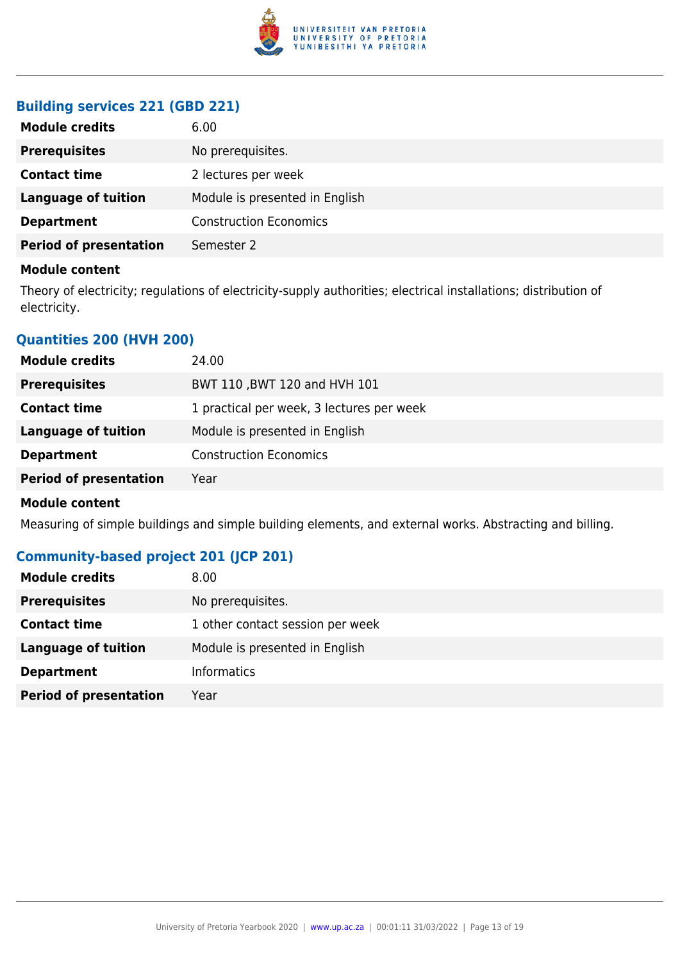

## **Building services 221 (GBD 221)**

| No prerequisites.<br><b>Prerequisites</b><br><b>Contact time</b><br>2 lectures per week<br>Module is presented in English<br><b>Language of tuition</b><br><b>Construction Economics</b><br><b>Department</b><br><b>Period of presentation</b><br>Semester 2 | <b>Module credits</b> | 6.00 |
|--------------------------------------------------------------------------------------------------------------------------------------------------------------------------------------------------------------------------------------------------------------|-----------------------|------|
|                                                                                                                                                                                                                                                              |                       |      |
|                                                                                                                                                                                                                                                              |                       |      |
|                                                                                                                                                                                                                                                              |                       |      |
|                                                                                                                                                                                                                                                              |                       |      |
|                                                                                                                                                                                                                                                              |                       |      |

## **Module content**

Theory of electricity; regulations of electricity-supply authorities; electrical installations; distribution of electricity.

## **Quantities 200 (HVH 200)**

| <b>Module credits</b>         | 24.00                                     |
|-------------------------------|-------------------------------------------|
| <b>Prerequisites</b>          | BWT 110, BWT 120 and HVH 101              |
| <b>Contact time</b>           | 1 practical per week, 3 lectures per week |
| Language of tuition           | Module is presented in English            |
| <b>Department</b>             | <b>Construction Economics</b>             |
| <b>Period of presentation</b> | Year                                      |
|                               |                                           |

#### **Module content**

Measuring of simple buildings and simple building elements, and external works. Abstracting and billing.

## **Community-based project 201 (JCP 201)**

| <b>Module credits</b>         | 8.00                             |
|-------------------------------|----------------------------------|
| <b>Prerequisites</b>          | No prerequisites.                |
| <b>Contact time</b>           | 1 other contact session per week |
| <b>Language of tuition</b>    | Module is presented in English   |
| <b>Department</b>             | <b>Informatics</b>               |
| <b>Period of presentation</b> | Year                             |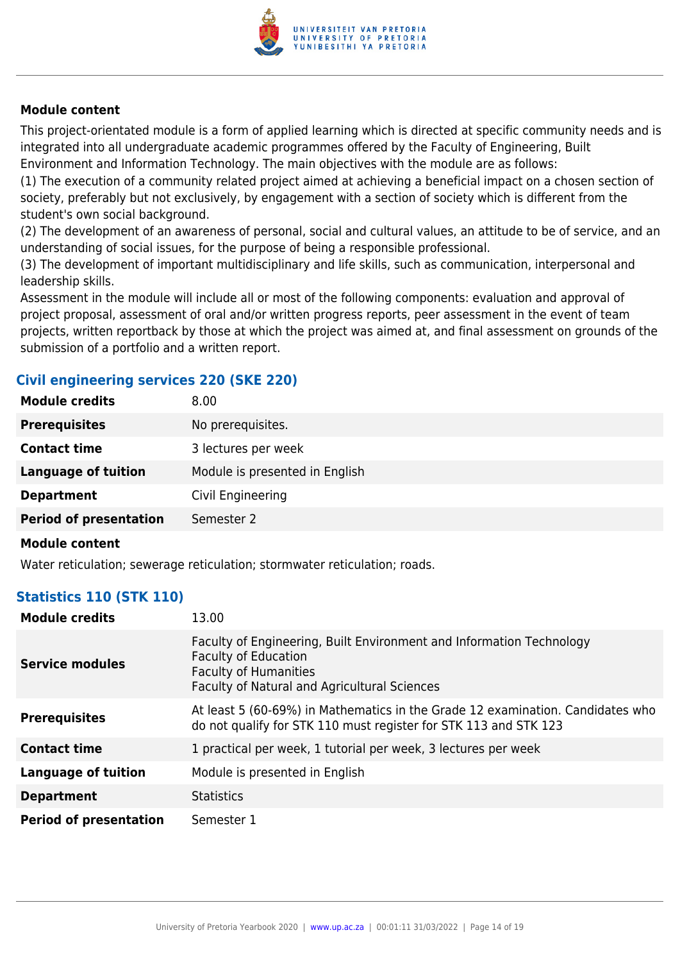

This project-orientated module is a form of applied learning which is directed at specific community needs and is integrated into all undergraduate academic programmes offered by the Faculty of Engineering, Built Environment and Information Technology. The main objectives with the module are as follows:

(1) The execution of a community related project aimed at achieving a beneficial impact on a chosen section of society, preferably but not exclusively, by engagement with a section of society which is different from the student's own social background.

(2) The development of an awareness of personal, social and cultural values, an attitude to be of service, and an understanding of social issues, for the purpose of being a responsible professional.

(3) The development of important multidisciplinary and life skills, such as communication, interpersonal and leadership skills.

Assessment in the module will include all or most of the following components: evaluation and approval of project proposal, assessment of oral and/or written progress reports, peer assessment in the event of team projects, written reportback by those at which the project was aimed at, and final assessment on grounds of the submission of a portfolio and a written report.

## **Civil engineering services 220 (SKE 220)**

| <b>Module credits</b>         | 8.00                           |
|-------------------------------|--------------------------------|
| <b>Prerequisites</b>          | No prerequisites.              |
| <b>Contact time</b>           | 3 lectures per week            |
| <b>Language of tuition</b>    | Module is presented in English |
| <b>Department</b>             | Civil Engineering              |
| <b>Period of presentation</b> | Semester 2                     |
|                               |                                |

#### **Module content**

Water reticulation; sewerage reticulation; stormwater reticulation; roads.

### **Statistics 110 (STK 110)**

| <b>Module credits</b>         | 13.00                                                                                                                                                                               |
|-------------------------------|-------------------------------------------------------------------------------------------------------------------------------------------------------------------------------------|
| Service modules               | Faculty of Engineering, Built Environment and Information Technology<br><b>Faculty of Education</b><br><b>Faculty of Humanities</b><br>Faculty of Natural and Agricultural Sciences |
| <b>Prerequisites</b>          | At least 5 (60-69%) in Mathematics in the Grade 12 examination. Candidates who<br>do not qualify for STK 110 must register for STK 113 and STK 123                                  |
| <b>Contact time</b>           | 1 practical per week, 1 tutorial per week, 3 lectures per week                                                                                                                      |
| <b>Language of tuition</b>    | Module is presented in English                                                                                                                                                      |
| <b>Department</b>             | <b>Statistics</b>                                                                                                                                                                   |
| <b>Period of presentation</b> | Semester 1                                                                                                                                                                          |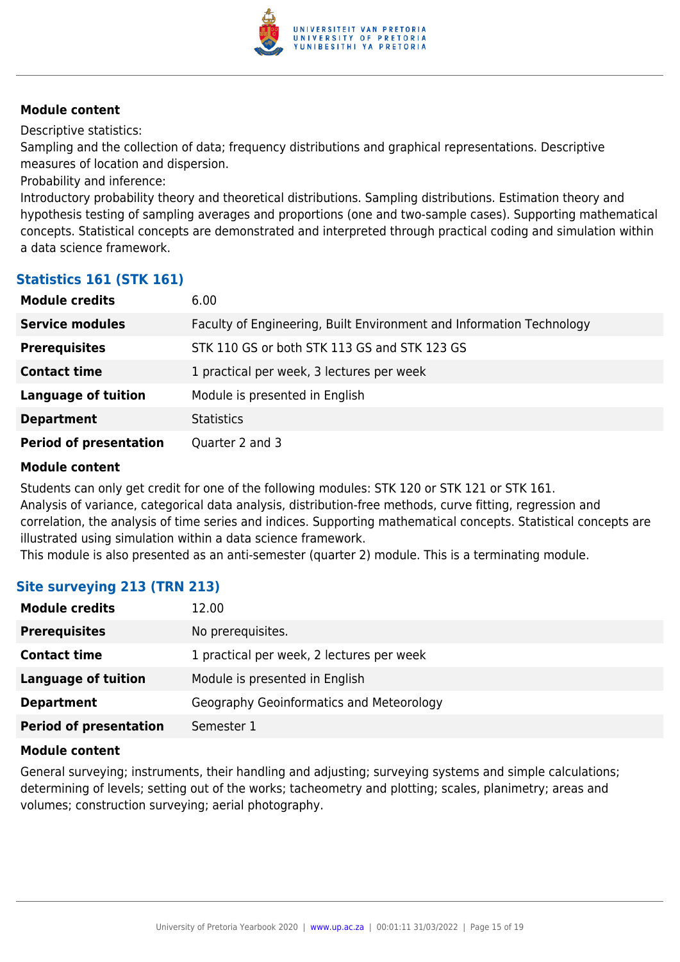

Descriptive statistics:

Sampling and the collection of data; frequency distributions and graphical representations. Descriptive measures of location and dispersion.

Probability and inference:

Introductory probability theory and theoretical distributions. Sampling distributions. Estimation theory and hypothesis testing of sampling averages and proportions (one and two-sample cases). Supporting mathematical concepts. Statistical concepts are demonstrated and interpreted through practical coding and simulation within a data science framework.

### **Statistics 161 (STK 161)**

| <b>Module credits</b>         | 6.00                                                                 |
|-------------------------------|----------------------------------------------------------------------|
| <b>Service modules</b>        | Faculty of Engineering, Built Environment and Information Technology |
| <b>Prerequisites</b>          | STK 110 GS or both STK 113 GS and STK 123 GS                         |
| <b>Contact time</b>           | 1 practical per week, 3 lectures per week                            |
| <b>Language of tuition</b>    | Module is presented in English                                       |
| <b>Department</b>             | <b>Statistics</b>                                                    |
| <b>Period of presentation</b> | Quarter 2 and 3                                                      |

#### **Module content**

Students can only get credit for one of the following modules: STK 120 or STK 121 or STK 161. Analysis of variance, categorical data analysis, distribution-free methods, curve fitting, regression and correlation, the analysis of time series and indices. Supporting mathematical concepts. Statistical concepts are illustrated using simulation within a data science framework.

This module is also presented as an anti-semester (quarter 2) module. This is a terminating module.

## **Site surveying 213 (TRN 213)**

| <b>Module credits</b>         | 12.00                                     |
|-------------------------------|-------------------------------------------|
| <b>Prerequisites</b>          | No prerequisites.                         |
| <b>Contact time</b>           | 1 practical per week, 2 lectures per week |
| Language of tuition           | Module is presented in English            |
| <b>Department</b>             | Geography Geoinformatics and Meteorology  |
| <b>Period of presentation</b> | Semester 1                                |

#### **Module content**

General surveying; instruments, their handling and adjusting; surveying systems and simple calculations; determining of levels; setting out of the works; tacheometry and plotting; scales, planimetry; areas and volumes; construction surveying; aerial photography.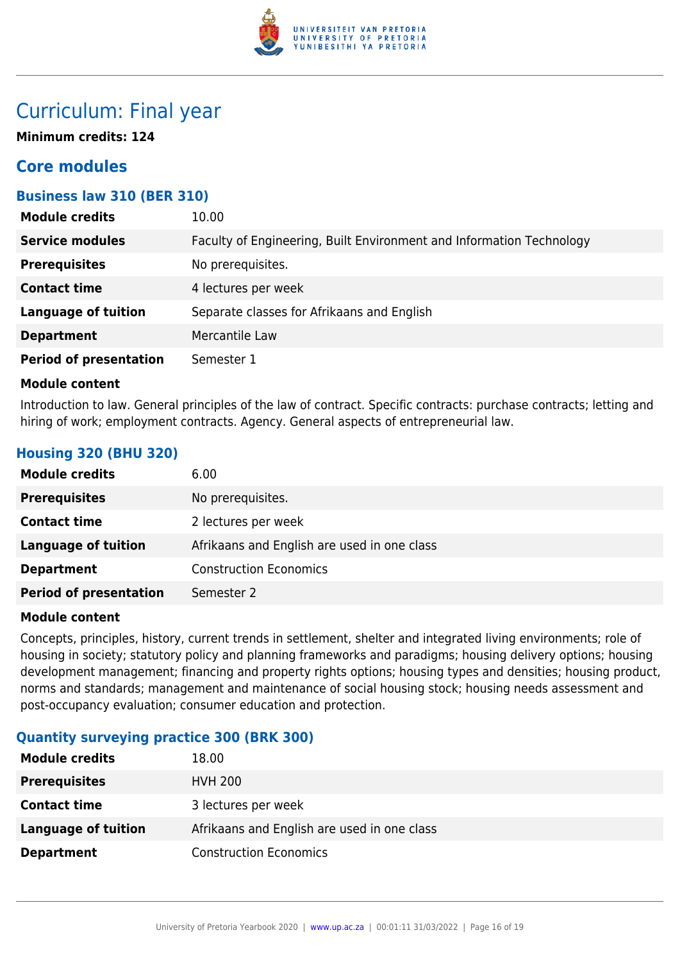

## Curriculum: Final year

**Minimum credits: 124**

## **Core modules**

## **Business law 310 (BER 310)**

| <b>Module credits</b>         | 10.00                                                                |
|-------------------------------|----------------------------------------------------------------------|
| <b>Service modules</b>        | Faculty of Engineering, Built Environment and Information Technology |
| <b>Prerequisites</b>          | No prerequisites.                                                    |
| <b>Contact time</b>           | 4 lectures per week                                                  |
| <b>Language of tuition</b>    | Separate classes for Afrikaans and English                           |
| <b>Department</b>             | Mercantile Law                                                       |
| <b>Period of presentation</b> | Semester 1                                                           |

#### **Module content**

Introduction to law. General principles of the law of contract. Specific contracts: purchase contracts; letting and hiring of work; employment contracts. Agency. General aspects of entrepreneurial law.

## **Housing 320 (BHU 320)**

| <b>Module credits</b>         | 6.00                                        |
|-------------------------------|---------------------------------------------|
| <b>Prerequisites</b>          | No prerequisites.                           |
| <b>Contact time</b>           | 2 lectures per week                         |
| Language of tuition           | Afrikaans and English are used in one class |
| <b>Department</b>             | <b>Construction Economics</b>               |
| <b>Period of presentation</b> | Semester 2                                  |

### **Module content**

Concepts, principles, history, current trends in settlement, shelter and integrated living environments; role of housing in society; statutory policy and planning frameworks and paradigms; housing delivery options; housing development management; financing and property rights options; housing types and densities; housing product, norms and standards; management and maintenance of social housing stock; housing needs assessment and post-occupancy evaluation; consumer education and protection.

## **Quantity surveying practice 300 (BRK 300)**

| <b>Module credits</b> | 18.00                                       |
|-----------------------|---------------------------------------------|
| <b>Prerequisites</b>  | <b>HVH 200</b>                              |
| <b>Contact time</b>   | 3 lectures per week                         |
| Language of tuition   | Afrikaans and English are used in one class |
| <b>Department</b>     | <b>Construction Economics</b>               |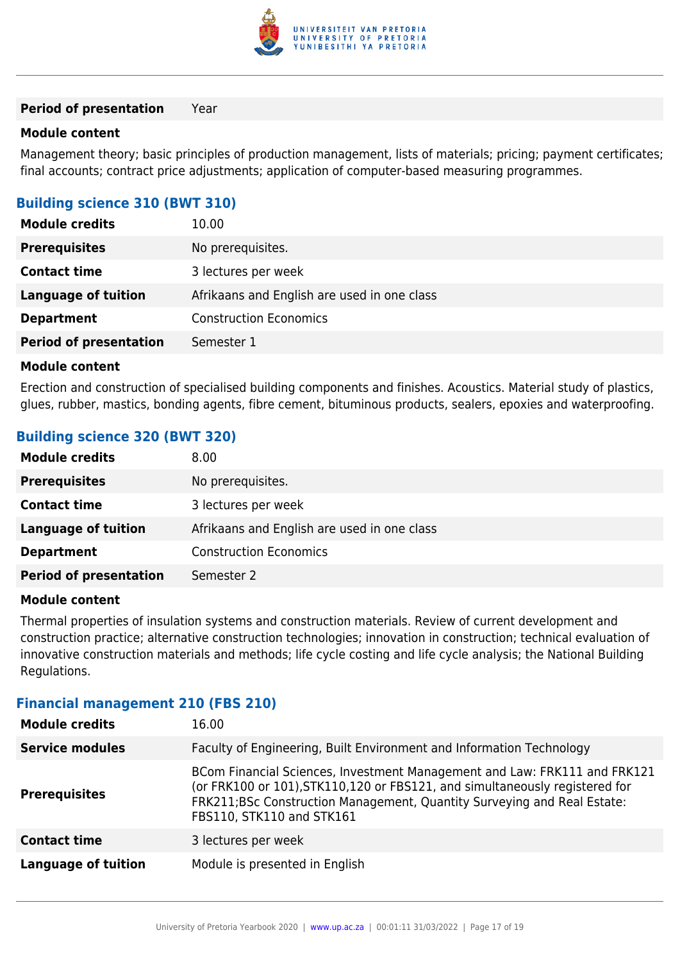

#### **Period of presentation** Year

#### **Module content**

Management theory; basic principles of production management, lists of materials; pricing; payment certificates; final accounts; contract price adjustments; application of computer-based measuring programmes.

### **Building science 310 (BWT 310)**

| <b>Module credits</b>         | 10.00                                       |
|-------------------------------|---------------------------------------------|
| <b>Prerequisites</b>          | No prerequisites.                           |
| <b>Contact time</b>           | 3 lectures per week                         |
| <b>Language of tuition</b>    | Afrikaans and English are used in one class |
| <b>Department</b>             | <b>Construction Economics</b>               |
| <b>Period of presentation</b> | Semester 1                                  |

#### **Module content**

Erection and construction of specialised building components and finishes. Acoustics. Material study of plastics, glues, rubber, mastics, bonding agents, fibre cement, bituminous products, sealers, epoxies and waterproofing.

### **Building science 320 (BWT 320)**

| <b>Module credits</b>         | 8.00                                        |
|-------------------------------|---------------------------------------------|
| <b>Prerequisites</b>          | No prerequisites.                           |
| <b>Contact time</b>           | 3 lectures per week                         |
| <b>Language of tuition</b>    | Afrikaans and English are used in one class |
| <b>Department</b>             | <b>Construction Economics</b>               |
| <b>Period of presentation</b> | Semester 2                                  |

#### **Module content**

Thermal properties of insulation systems and construction materials. Review of current development and construction practice; alternative construction technologies; innovation in construction; technical evaluation of innovative construction materials and methods; life cycle costing and life cycle analysis; the National Building Regulations.

### **Financial management 210 (FBS 210)**

| <b>Module credits</b>      | 16.00                                                                                                                                                                                                                                                             |
|----------------------------|-------------------------------------------------------------------------------------------------------------------------------------------------------------------------------------------------------------------------------------------------------------------|
| <b>Service modules</b>     | Faculty of Engineering, Built Environment and Information Technology                                                                                                                                                                                              |
| <b>Prerequisites</b>       | BCom Financial Sciences, Investment Management and Law: FRK111 and FRK121<br>(or FRK100 or 101), STK110, 120 or FBS121, and simultaneously registered for<br>FRK211;BSc Construction Management, Quantity Surveying and Real Estate:<br>FBS110, STK110 and STK161 |
| <b>Contact time</b>        | 3 lectures per week                                                                                                                                                                                                                                               |
| <b>Language of tuition</b> | Module is presented in English                                                                                                                                                                                                                                    |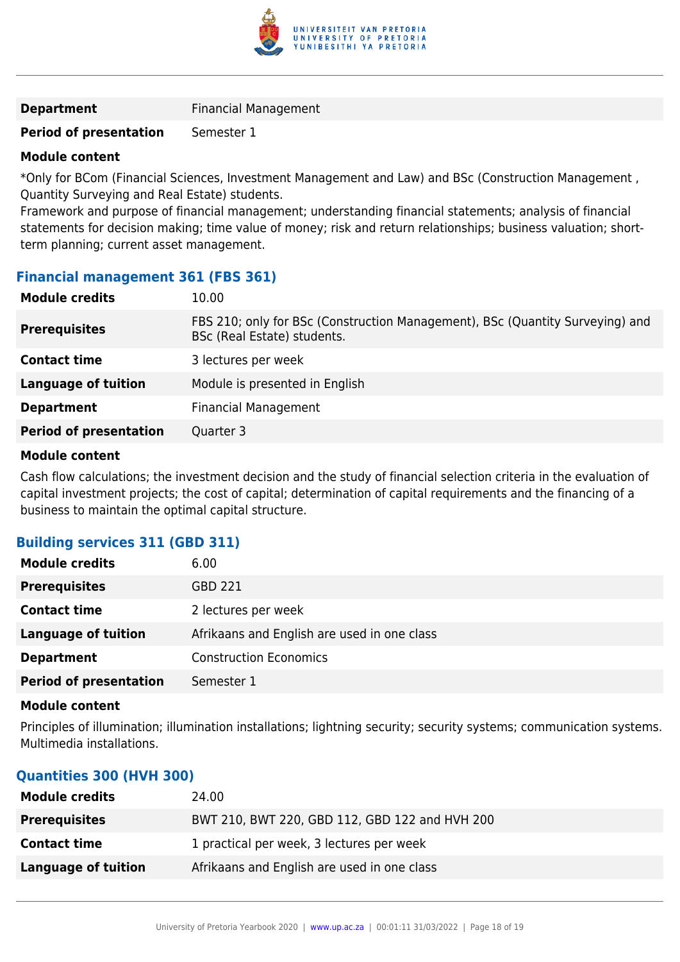

**Department** Financial Management

#### **Period of presentation** Semester 1

#### **Module content**

\*Only for BCom (Financial Sciences, Investment Management and Law) and BSc (Construction Management , Quantity Surveying and Real Estate) students.

Framework and purpose of financial management; understanding financial statements; analysis of financial statements for decision making; time value of money; risk and return relationships; business valuation; shortterm planning; current asset management.

### **Financial management 361 (FBS 361)**

| FBS 210; only for BSc (Construction Management), BSc (Quantity Surveying) and<br><b>Prerequisites</b><br>BSc (Real Estate) students.<br><b>Contact time</b><br>3 lectures per week | <b>Module credits</b> | 10.00 |
|------------------------------------------------------------------------------------------------------------------------------------------------------------------------------------|-----------------------|-------|
|                                                                                                                                                                                    |                       |       |
|                                                                                                                                                                                    |                       |       |
| Module is presented in English<br><b>Language of tuition</b>                                                                                                                       |                       |       |
| <b>Financial Management</b><br><b>Department</b>                                                                                                                                   |                       |       |
| <b>Period of presentation</b><br>Quarter 3                                                                                                                                         |                       |       |

#### **Module content**

Cash flow calculations; the investment decision and the study of financial selection criteria in the evaluation of capital investment projects; the cost of capital; determination of capital requirements and the financing of a business to maintain the optimal capital structure.

## **Building services 311 (GBD 311)**

| <b>Module credits</b>         | 6.00                                        |
|-------------------------------|---------------------------------------------|
| <b>Prerequisites</b>          | GBD 221                                     |
| <b>Contact time</b>           | 2 lectures per week                         |
| <b>Language of tuition</b>    | Afrikaans and English are used in one class |
| <b>Department</b>             | <b>Construction Economics</b>               |
| <b>Period of presentation</b> | Semester 1                                  |

#### **Module content**

Principles of illumination; illumination installations; lightning security; security systems; communication systems. Multimedia installations.

### **Quantities 300 (HVH 300)**

| <b>Module credits</b> | 24.00                                          |
|-----------------------|------------------------------------------------|
| <b>Prerequisites</b>  | BWT 210, BWT 220, GBD 112, GBD 122 and HVH 200 |
| <b>Contact time</b>   | 1 practical per week, 3 lectures per week      |
| Language of tuition   | Afrikaans and English are used in one class    |